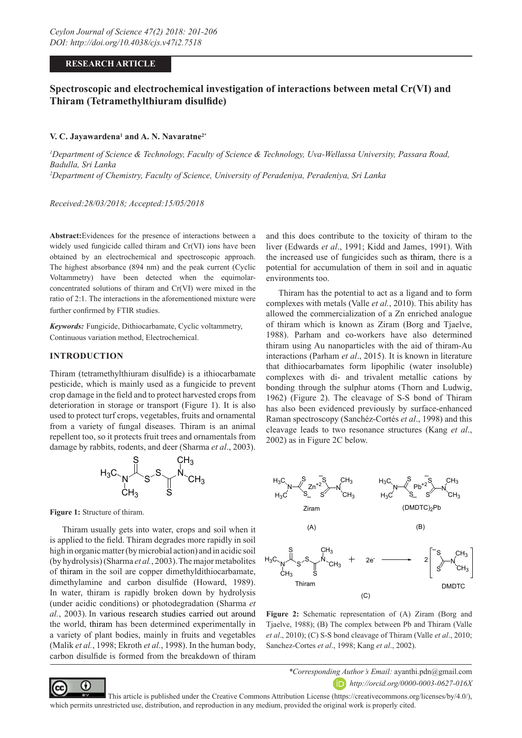## **RESEARCH ARTICLE**

# **Spectroscopic and electrochemical investigation of interactions between metal Cr(VI) and Thiram (Tetramethylthiuram disulfide)**

#### **V. C. Jayawardena1 and A. N. Navaratne2\***

*1 Department of Science & Technology, Faculty of Science & Technology, Uva-Wellassa University, Passara Road, Badulla, Sri Lanka 2 Department of Chemistry, Faculty of Science, University of Peradeniya, Peradeniya, Sri Lanka*

*Received:28/03/2018; Accepted:15/05/2018*

**Abstract:**Evidences for the presence of interactions between a widely used fungicide called thiram and Cr(VI) ions have been obtained by an electrochemical and spectroscopic approach. The highest absorbance (894 nm) and the peak current (Cyclic Voltammetry) have been detected when the equimolarconcentrated solutions of thiram and Cr(VI) were mixed in the ratio of 2:1. The interactions in the aforementioned mixture were further confirmed by FTIR studies.

*Keywords:* Fungicide, Dithiocarbamate, Cyclic voltammetry, Continuous variation method, Electrochemical.

#### **INTRODUCTION**

Thiram (tetramethylthiuram disulfide) is a ithiocarbamate pesticide, which is mainly used as a fungicide to prevent crop damage in the field and to protect harvested crops from deterioration in storage or transport (Figure 1). It is also used to protect turf crops, vegetables, fruits and ornamental from a variety of fungal diseases. Thiram is an animal repellent too, so it protects fruit trees and ornamentals from damage by rabbits, rodents, and deer (Sharma *et al*., 2003).



**Figure 1:** Structure of thiram.

Thiram usually gets into water, crops and soil when it is applied to the field. Thiram degrades more rapidly in soil high in organic matter (by microbial action) and in acidic soil (by hydrolysis) (Sharma *et al.*, 2003). The major metabolites of thiram in the soil are copper dimethyldithiocarbamate, dimethylamine and carbon disulfide (Howard, 1989). In water, thiram is rapidly broken down by hydrolysis (under acidic conditions) or photodegradation (Sharma *et al.*, 2003). In various research studies carried out around the world, thiram has been determined experimentally in a variety of plant bodies, mainly in fruits and vegetables (Malik *et al.*, 1998; Ekroth *et al.*, 1998). In the human body, carbon disulfide is formed from the breakdown of thiram

and this does contribute to the toxicity of thiram to the liver (Edwards *et al*., 1991; Kidd and James, 1991). With the increased use of fungicides such as thiram, there is a potential for accumulation of them in soil and in aquatic environments too.

Thiram has the potential to act as a ligand and to form complexes with metals (Valle *et al.*, 2010). This ability has allowed the commercialization of a Zn enriched analogue of thiram which is known as Ziram (Borg and Tjaelve, 1988). Parham and co-workers have also determined thiram using Au nanoparticles with the aid of thiram-Au interactions (Parham *et al*., 2015). It is known in literature that dithiocarbamates form lipophilic (water insoluble) complexes with di- and trivalent metallic cations by bonding through the sulphur atoms (Thorn and Ludwig, 1962) (Figure 2). The cleavage of S-S bond of Thiram has also been evidenced previously by surface-enhanced Raman spectroscopy (Sanchéz-Cortés *et al*., 1998) and this cleavage leads to two resonance structures (Kang *et al*., 2002) as in Figure 2C below.



**Figure 2:** Schematic representation of (A) Ziram (Borg and Tjaelve, 1988); (B) The complex between Pb and Thiram (Valle *et al*., 2010); (C) S-S bond cleavage of Thiram (Valle *et al*., 2010; Sanchez-Cortes *et al*., 1998; Kang *et al*., 2002).



*\*Corresponding Author's Email:* ayanthi.pdn@gmail.com *http://orcid.org/0000-0003-0627-016X*

 This article is published under the Creative Commons Attribution License (https://creativecommons.org/licenses/by/4.0/), which permits unrestricted use, distribution, and reproduction in any medium, provided the original work is properly cited.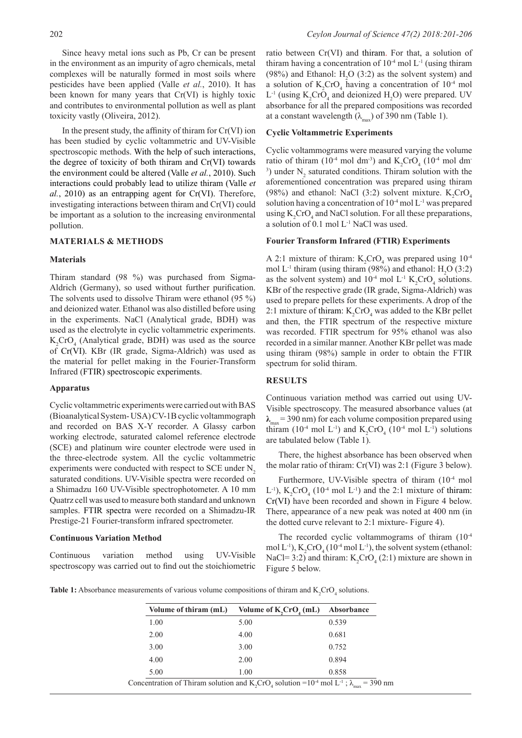Since heavy metal ions such as Pb, Cr can be present in the environment as an impurity of agro chemicals, metal complexes will be naturally formed in most soils where pesticides have been applied (Valle *et al.*, 2010). It has been known for many years that Cr(VI) is highly toxic and contributes to environmental pollution as well as plant toxicity vastly (Oliveira, 2012).

In the present study, the affinity of thiram for  $Cr(VI)$  ion has been studied by cyclic voltammetric and UV-Visible spectroscopic methods. With the help of such interactions, the degree of toxicity of both thiram and Cr(VI) towards the environment could be altered (Valle *et al.*, 2010). Such interactions could probably lead to utilize thiram (Valle *et al.*, 2010) as an entrapping agent for Cr(VI). Therefore, investigating interactions between thiram and Cr(VI) could be important as a solution to the increasing environmental pollution.

## **MATERIALS & METHODS**

#### **Materials**

Thiram standard (98 %) was purchased from Sigma-Aldrich (Germany), so used without further purification. The solvents used to dissolve Thiram were ethanol (95 %) and deionized water. Ethanol was also distilled before using in the experiments. NaCl (Analytical grade, BDH) was used as the electrolyte in cyclic voltammetric experiments.  $K_2$ CrO<sub>4</sub> (Analytical grade, BDH) was used as the source of Cr(VI). KBr (IR grade, Sigma-Aldrich) was used as the material for pellet making in the Fourier-Transform Infrared (FTIR) spectroscopic experiments.

#### **Apparatus**

Cyclic voltammetric experiments were carried out with BAS (Bioanalytical System- USA) CV-1B cyclic voltammograph and recorded on BAS X-Y recorder. A Glassy carbon working electrode, saturated calomel reference electrode (SCE) and platinum wire counter electrode were used in the three-electrode system. All the cyclic voltammetric experiments were conducted with respect to SCE under  $N<sub>2</sub>$ saturated conditions. UV-Visible spectra were recorded on a Shimadzu 160 UV-Visible spectrophotometer. A 10 mm Quatrz cell was used to measure both standard and unknown samples. FTIR spectra were recorded on a Shimadzu-IR Prestige-21 Fourier-transform infrared spectrometer.

#### **Continuous Variation Method**

Continuous variation method using UV-Visible spectroscopy was carried out to find out the stoichiometric

ratio between Cr(VI) and thiram. For that, a solution of thiram having a concentration of  $10^{-4}$  mol  $L^{-1}$  (using thiram (98%) and Ethanol:  $H_2O(3:2)$  as the solvent system) and a solution of  $K_2$ CrO<sub>4</sub> having a concentration of  $10^{-4}$  mol  $L^{-1}$  (using  $K_2$ CrO<sub>4</sub> and deionized H<sub>2</sub>O) were prepared. UV absorbance for all the prepared compositions was recorded at a constant wavelength  $(\lambda_{\text{max}})$  of 390 nm (Table 1).

## **Cyclic Voltammetric Experiments**

Cyclic voltammograms were measured varying the volume ratio of thiram (10<sup>-4</sup> mol dm<sup>-3</sup>) and  $K_2$ CrO<sub>4</sub> (10<sup>-4</sup> mol dm<sup>-</sup> <sup>3</sup>) under  $N_2$  saturated conditions. Thiram solution with the aforementioned concentration was prepared using thiram (98%) and ethanol: NaCl (3:2) solvent mixture.  $K_2$ CrO<sub>4</sub> solution having a concentration of  $10^{-4}$  mol  $L^{-1}$  was prepared using  $K_2$ CrO<sub>4</sub> and NaCl solution. For all these preparations, a solution of 0.1 mol L-1 NaCl was used.

## **Fourier Transform Infrared (FTIR) Experiments**

A 2:1 mixture of thiram:  $K_2$ CrO<sub>4</sub> was prepared using  $10^{-4}$ mol  $L^{-1}$  thiram (using thiram (98%) and ethanol:  $H_2O(3:2)$ as the solvent system) and  $10^4$  mol L<sup>-1</sup> K<sub>2</sub>CrO<sub>4</sub> solutions. KBr of the respective grade (IR grade, Sigma-Aldrich) was used to prepare pellets for these experiments. A drop of the 2:1 mixture of thiram:  $K_2$ CrO<sub>4</sub> was added to the KBr pellet and then, the FTIR spectrum of the respective mixture was recorded. FTIR spectrum for 95% ethanol was also recorded in a similar manner. Another KBr pellet was made using thiram (98%) sample in order to obtain the FTIR spectrum for solid thiram.

## **RESULTS**

Continuous variation method was carried out using UV-Visible spectroscopy. The measured absorbance values (at  $\lambda_{\text{max}}$  = 390 nm) for each volume composition prepared using thiram (10<sup>-4</sup> mol L<sup>-1</sup>) and  $K_2$ CrO<sub>4</sub> (10<sup>-4</sup> mol L<sup>-1</sup>) solutions are tabulated below (Table 1).

There, the highest absorbance has been observed when the molar ratio of thiram: Cr(VI) was 2:1 (Figure 3 below).

Furthermore, UV-Visible spectra of thiram (10<sup>-4</sup> mol L<sup>-1</sup>),  $K_2$ CrO<sub>4</sub> (10<sup>-4</sup> mol L<sup>-1</sup>) and the 2:1 mixture of thiram: Cr(VI) have been recorded and shown in Figure 4 below. There, appearance of a new peak was noted at 400 nm (in the dotted curve relevant to 2:1 mixture- Figure 4).

The recorded cyclic voltammograms of thiram  $(10^{-4}$ mol L<sup>-1</sup>),  $K_2$ CrO<sub>4</sub> (10<sup>-4</sup> mol L<sup>-1</sup>), the solvent system (ethanol: NaCl= 3:2) and thiram:  $K_2$ CrO<sub>4</sub> (2:1) mixture are shown in Figure 5 below.

**Table 1:** Absorbance measurements of various volume compositions of thiram and  $K_2$ CrO<sub>4</sub> solutions.

| Volume of thiram (mL) | Volume of $K, CrO4$ (mL) | Absorbance |
|-----------------------|--------------------------|------------|
| 1.00                  | 5.00                     | 0.539      |
| 2.00                  | 4.00                     | 0.681      |
| 3.00                  | 3.00                     | 0.752      |
| 4.00                  | 2.00                     | 0.894      |
| 5.00                  | 1.00                     | 0.858      |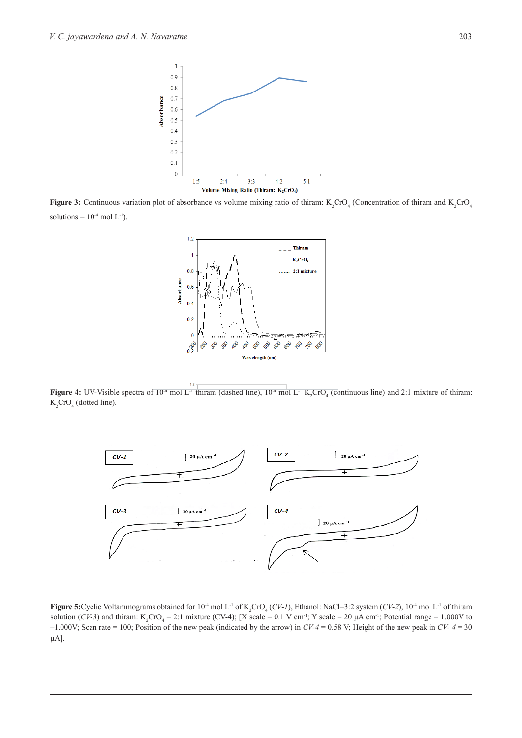

**Figure 3:** Continuous variation plot of absorbance vs volume mixing ratio of thiram:  $K_2$ CrO<sub>4</sub> (Concentration of thiram and  $K_2$ CrO<sub>4</sub> solutions =  $10^{-4}$  mol L<sup>-1</sup>).



**Figure 4:** UV-Visible spectra of  $10^4$  mol L<sup>-1</sup> thiram (dashed line),  $10^4$  mol L<sup>-1</sup> K<sub>2</sub>CrO<sub>4</sub> (continuous line) and 2:1 mixture of thiram:  $K_2$ CrO<sub>4</sub> (dotted line).



**Figure 5:** Cyclic Voltammograms obtained for  $10^4$  mol L<sup>-1</sup> of K<sub>2</sub>CrO<sub>4</sub> (*CV-1*), Ethanol: NaCl=3:2 system (*CV-2*),  $10^4$  mol L<sup>-1</sup> of thiram solution (*CV*-3) and thiram: K<sub>2</sub>CrO<sub>4</sub> = 2:1 mixture (CV-4); [X scale = 0.1 V cm<sup>-1</sup>; Y scale = 20 µA cm<sup>-1</sup>; Potential range = 1.000V to –1.000V; Scan rate = 100; Position of the new peak (indicated by the arrow) in *CV-4* = 0.58 V; Height of the new peak in *CV- 4* = 30 μA].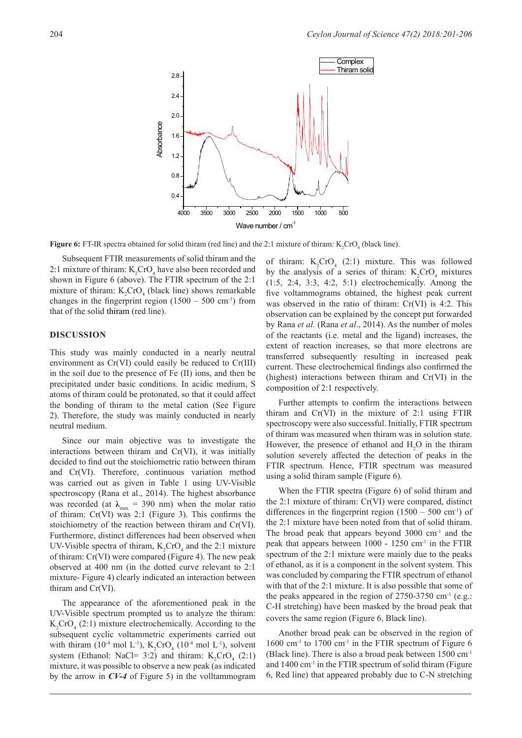

**Figure 6:** FT-IR spectra obtained for solid thiram (red line) and the 2:1 mixture of thiram:  $K_2$ CrO<sub>4</sub> (black line).

Subsequent FTIR measurements of solid thiram and the 2:1 mixture of thiram:  $K_2$ CrO<sub>4</sub> have also been recorded and shown in Figure 6 (above). The FTIR spectrum of the 2:1 mixture of thiram:  $K_2$ CrO<sub>4</sub> (black line) shows remarkable changes in the fingerprint region  $(1500 - 500 \text{ cm}^{-1})$  from that of the solid thiram (red line).

#### **DISCUSSION**

This study was mainly conducted in a nearly neutral environment as Cr(VI) could easily be reduced to Cr(III) in the soil due to the presence of Fe (II) ions, and then be precipitated under basic conditions. In acidic medium, S atoms of thiram could be protonated, so that it could affect the bonding of thiram to the metal cation (See Figure 2). Therefore, the study was mainly conducted in nearly neutral medium.

Since our main objective was to investigate the interactions between thiram and Cr(VI), it was initially decided to find out the stoichiometric ratio between thiram and Cr(VI). Therefore, continuous variation method was carried out as given in Table 1 using UV-Visible spectroscopy (Rana et al., 2014). The highest absorbance was recorded (at  $\lambda_{\text{max}} = 390 \text{ nm}$ ) when the molar ratio of thiram: Cr(VI) was 2:1 (Figure 3). This confirms the stoichiometry of the reaction between thiram and Cr(VI). Furthermore, distinct differences had been observed when UV-Visible spectra of thiram,  $K_2$ CrO<sub>4</sub> and the 2:1 mixture of thiram: Cr(VI) were compared (Figure 4). The new peak observed at 400 nm (in the dotted curve relevant to 2:1 mixture- Figure 4) clearly indicated an interaction between thiram and Cr(VI).

The appearance of the aforementioned peak in the UV-Visible spectrum prompted us to analyze the thiram:  $K_2$ CrO<sub>4</sub> (2:1) mixture electrochemically. According to the subsequent cyclic voltammetric experiments carried out with thiram (10<sup>-4</sup> mol L<sup>-1</sup>),  $K_2$ CrO<sub>4</sub> (10<sup>-4</sup> mol L<sup>-1</sup>), solvent system (Ethanol: NaCl= 3:2) and thiram:  $K_2$ CrO<sub>4</sub> (2:1) mixture, it was possible to observe a new peak (as indicated by the arrow in *CV-4* of Figure 5) in the volltammogram

of thiram:  $K_2$ CrO<sub>4</sub> (2:1) mixture. This was followed by the analysis of a series of thiram:  $K_2$ CrO<sub>4</sub> mixtures (1:5, 2:4, 3:3, 4:2, 5:1) electrochemically. Among the five voltammograms obtained, the highest peak current was observed in the ratio of thiram: Cr(VI) is 4:2. This observation can be explained by the concept put forwarded by Rana *et al.* (Rana *et al*., 2014). As the number of moles of the reactants (i.e. metal and the ligand) increases, the extent of reaction increases, so that more electrons are transferred subsequently resulting in increased peak current. These electrochemical findings also confirmed the (highest) interactions between thiram and Cr(VI) in the composition of 2:1 respectively.

Further attempts to confirm the interactions between thiram and Cr(VI) in the mixture of 2:1 using FTIR spectroscopy were also successful. Initially, FTIR spectrum of thiram was measured when thiram was in solution state. However, the presence of ethanol and  $H_2O$  in the thiram solution severely affected the detection of peaks in the FTIR spectrum. Hence, FTIR spectrum was measured using a solid thiram sample (Figure 6).

When the FTIR spectra (Figure 6) of solid thiram and the 2:1 mixture of thiram: Cr(VI) were compared, distinct differences in the fingerprint region  $(1500 - 500 \text{ cm}^{-1})$  of the 2:1 mixture have been noted from that of solid thiram. The broad peak that appears beyond  $3000 \text{ cm}^{-1}$  and the peak that appears between 1000 - 1250 cm-1 in the FTIR spectrum of the 2:1 mixture were mainly due to the peaks of ethanol, as it is a component in the solvent system. This was concluded by comparing the FTIR spectrum of ethanol with that of the 2:1 mixture. It is also possible that some of the peaks appeared in the region of  $2750-3750$  cm<sup>-1</sup> (e.g.: C-H stretching) have been masked by the broad peak that covers the same region (Figure 6, Black line).

Another broad peak can be observed in the region of  $1600$  cm<sup>-1</sup> to  $1700$  cm<sup>-1</sup> in the FTIR spectrum of Figure 6 (Black line). There is also a broad peak between 1500 cm-1 and 1400 cm<sup>-1</sup> in the FTIR spectrum of solid thiram (Figure 6, Red line) that appeared probably due to C-N stretching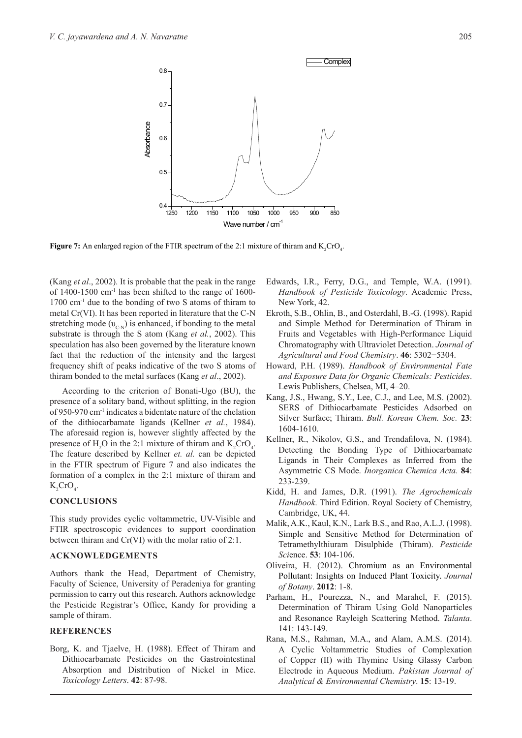

**Figure 7:** An enlarged region of the FTIR spectrum of the 2:1 mixture of thiram and  $K_2$ CrO<sub>4</sub>.

(Kang *et al*., 2002). It is probable that the peak in the range of  $1400-1500$  cm<sup>-1</sup> has been shifted to the range of  $1600-$ 1700 cm-1 due to the bonding of two S atoms of thiram to metal Cr(VI). It has been reported in literature that the C-N stretching mode  $(v_{CN})$  is enhanced, if bonding to the metal substrate is through the S atom (Kang *et al.*, 2002). This speculation has also been governed by the literature known fact that the reduction of the intensity and the largest frequency shift of peaks indicative of the two S atoms of thiram bonded to the metal surfaces (Kang *et al*., 2002).

According to the criterion of Bonati-Ugo (BU), the presence of a solitary band, without splitting, in the region of 950-970 cm-1 indicates a bidentate nature of the chelation of the dithiocarbamate ligands (Kellner *et al.*, 1984). The aforesaid region is, however slightly affected by the presence of  $H_2O$  in the 2:1 mixture of thiram and  $K_2CrO_4$ . The feature described by Kellner *et. al.* can be depicted in the FTIR spectrum of Figure 7 and also indicates the formation of a complex in the 2:1 mixture of thiram and  $K_2$ CrO<sub>4</sub>.

## **CONCLUSIONS**

This study provides cyclic voltammetric, UV-Visible and FTIR spectroscopic evidences to support coordination between thiram and Cr(VI) with the molar ratio of 2:1.

## **ACKNOWLEDGEMENTS**

Authors thank the Head, Department of Chemistry, Faculty of Science, University of Peradeniya for granting permission to carry out this research. Authors acknowledge the Pesticide Registrar's Office, Kandy for providing a sample of thiram.

# **REFERENCES**

Borg, K. and Tjaelve, H. (1988). Effect of Thiram and Dithiocarbamate Pesticides on the Gastrointestinal Absorption and Distribution of Nickel in Mice. *Toxicology Letters*. **42**: 87-98.

- Edwards, I.R., Ferry, D.G., and Temple, W.A. (1991). *Handbook of Pesticide Toxicology*. Academic Press, New York, 42.
- Ekroth, S.B., Ohlin, B., and Osterdahl, B.-G. (1998). Rapid and Simple Method for Determination of Thiram in Fruits and Vegetables with High-Performance Liquid Chromatography with Ultraviolet Detection. *Journal of Agricultural and Food Chemistry*. **46**: 5302−5304.
- Howard, P.H. (1989). *Handbook of Environmental Fate and Exposure Data for Organic Chemicals: Pesticides*. Lewis Publishers, Chelsea, MI, 4–20.
- Kang, J.S., Hwang, S.Y., Lee, C.J., and Lee, M.S. (2002). SERS of Dithiocarbamate Pesticides Adsorbed on Silver Surface; Thiram. *Bull. Korean Chem. Soc.* **23**: 1604-1610.
- Kellner, R., Nikolov, G.S., and Trendafilova, N. (1984). Detecting the Bonding Type of Dithiocarbamate Ligands in Their Complexes as Inferred from the Asymmetric CS Mode. *Inorganica Chemica Acta.* **84**: 233-239.
- Kidd, H. and James, D.R. (1991). *The Agrochemicals Handbook*. Third Edition. Royal Society of Chemistry, Cambridge, UK, 44.
- Malik, A.K., Kaul, K.N., Lark B.S., and Rao, A.L.J. (1998). Simple and Sensitive Method for Determination of Tetramethylthiuram Disulphide (Thiram). *Pesticide Sci*ence. **53**: 104-106.
- Oliveira, H. (2012). Chromium as an Environmental Pollutant: Insights on Induced Plant Toxicity. *Journal of Botany*. **2012**: 1-8.
- Parham, H., Pourezza, N., and Marahel, F. (2015). Determination of Thiram Using Gold Nanoparticles and Resonance Rayleigh Scattering Method. *Talanta*. 141: 143-149.
- Rana, M.S., Rahman, M.A., and Alam, A.M.S. (2014). A Cyclic Voltammetric Studies of Complexation of Copper (II) with Thymine Using Glassy Carbon Electrode in Aqueous Medium. *Pakistan Journal of Analytical & Environmental Chemistry*. **15**: 13-19.